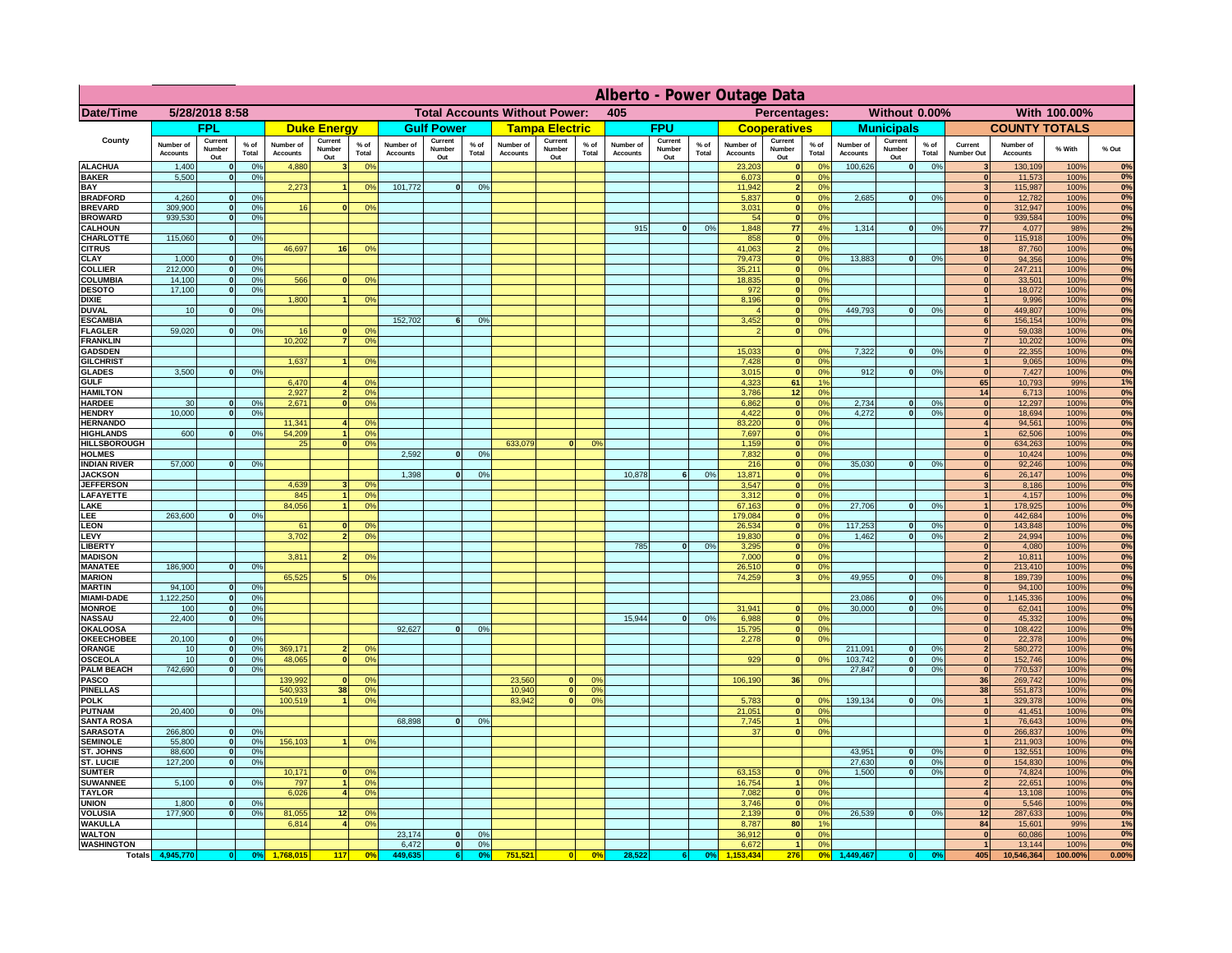|                                      | Alberto - Power Outage Data  |                          |                    |                              |                                             |                      |                              |                          |                 |                       |                                               |                 |                              |                          |                   |                              |                            |                                                           |                              |                              |                 |                                         |                              |              |          |
|--------------------------------------|------------------------------|--------------------------|--------------------|------------------------------|---------------------------------------------|----------------------|------------------------------|--------------------------|-----------------|-----------------------|-----------------------------------------------|-----------------|------------------------------|--------------------------|-------------------|------------------------------|----------------------------|-----------------------------------------------------------|------------------------------|------------------------------|-----------------|-----------------------------------------|------------------------------|--------------|----------|
| Date/Time                            | 5/28/2018 8:58               |                          |                    |                              | <b>Total Accounts Without Power:</b><br>405 |                      |                              |                          |                 |                       | Percentages:<br>Without 0.00%<br>With 100,00% |                 |                              |                          |                   |                              |                            |                                                           |                              |                              |                 |                                         |                              |              |          |
|                                      | FPL                          |                          | <b>Duke Energy</b> |                              |                                             | <b>Gulf Power</b>    |                              | <b>Tampa Electric</b>    |                 |                       | <b>FPU</b>                                    |                 | <b>Cooperatives</b>          |                          | <b>Municipals</b> |                              |                            | <b>COUNTY TOTALS</b>                                      |                              |                              |                 |                                         |                              |              |          |
| County                               | Number of<br><b>Accounts</b> | Current<br>Number<br>Out | $%$ of<br>Total    | Number of<br><b>Accounts</b> | Current<br>Number<br>Out                    | $%$ of<br>Total      | Number of<br><b>Accounts</b> | Current<br>Number<br>Out | $%$ of<br>Total | Number of<br>Accounts | Current<br>Number<br>Out                      | $%$ of<br>Total | Number of<br><b>Accounts</b> | Current<br>Number<br>Out | $%$ of<br>Total   | Number of<br><b>Accounts</b> | Current<br>Number<br>Out   | $%$ of<br>Total                                           | Number of<br><b>Accounts</b> | Current<br>Number<br>Out     | $%$ of<br>Total | Current<br>Number Out                   | Number of<br><b>Accounts</b> | % With       | % Out    |
| <b>ALACHUA</b>                       | 1,400                        | $\Omega$                 | 0%                 | 4,880                        | 3 <sup>1</sup>                              | 0%                   |                              |                          |                 |                       |                                               |                 |                              |                          |                   | 23,203                       | $\Omega$                   | 0 <sup>o</sup>                                            | 100,626                      | $\mathbf{0}$                 | 0%              | $\overline{\mathbf{3}}$                 | 130,109                      | 100%         | 0%       |
| <b>BAKER</b><br>BAY                  | 5,500                        | $\mathbf{0}$             | 0%                 | 2,273                        |                                             | 0%                   | 101,772                      | $\overline{0}$           | 0 <sup>9</sup>  |                       |                                               |                 |                              |                          |                   | 6,073<br>11,942              | $\bf{0}$<br>$\overline{2}$ | 0 <sup>o</sup><br>0 <sup>9</sup>                          |                              |                              |                 | $\mathbf{0}$<br>$\overline{\mathbf{3}}$ | 11,573<br>115,987            | 100%<br>100% | 0%<br>0% |
| <b>BRADFORD</b>                      | 4,260                        | 0                        | 0%                 |                              |                                             |                      |                              |                          |                 |                       |                                               |                 |                              |                          |                   | 5,837                        | $\bf{0}$                   | 0%                                                        | 2,685                        | 0                            | 0%              | $\mathbf{0}$                            | 12,782                       | 100%         | 0%       |
| <b>BREVARD</b><br><b>BROWARD</b>     | 309.900<br>939.530           | 0                        | 0%                 | 16                           | 0                                           | 0%                   |                              |                          |                 |                       |                                               |                 |                              |                          |                   | 3.031                        |                            | 0%<br> 0 <br>$\mathbf{0}$<br>0%                           |                              |                              |                 | 0 <br> 0                                | 312,947                      | 100%<br>100% | 0%<br>0% |
| <b>CALHOUN</b>                       |                              |                          | 0 <br>0%           |                              |                                             |                      |                              |                          |                 |                       |                                               |                 | 915                          | 0                        | 0%                | 54<br>1,848                  | 77                         | 4%                                                        | 1,314                        | 0                            | 0%              | 77                                      | 939,584<br>4,077             | 98%          | 2%       |
| <b>CHARLOTTE</b>                     | 115,060                      | 0                        | 0%                 |                              |                                             |                      |                              |                          |                 |                       |                                               |                 |                              |                          |                   | 858                          |                            | 0%<br> 0                                                  |                              |                              |                 | $\mathbf{0}$                            | 115,918                      | 100%         | 0%       |
| <b>CITRUS</b><br><b>CLAY</b>         | 1,000                        | 0                        | 0%                 | 46.697                       | 16                                          | 0%                   |                              |                          |                 |                       |                                               |                 |                              |                          |                   | 41.063<br>79,473             |                            | 2 <sub>1</sub><br>0 <sup>9</sup><br> 0 <br>0 <sup>9</sup> | 13,883                       | 0                            | 0%              | 18<br> 0                                | 87,760<br>94,356             | 100%<br>100% | 0%<br>0% |
| <b>COLLIER</b>                       | 212,000                      | 0                        | 0%                 |                              |                                             |                      |                              |                          |                 |                       |                                               |                 |                              |                          |                   | 35,211                       |                            | 0 <sup>9</sup><br>$\mathbf{0}$                            |                              |                              |                 | $\mathbf{0}$                            | 247,211                      | 100%         | $0\%$    |
| COLUMBIA                             | 14,100                       | 0                        | 0%                 | 566                          | $\bf{0}$                                    | 0%                   |                              |                          |                 |                       |                                               |                 |                              |                          |                   | 18,835                       | $\bf{0}$                   | 0 <sup>9</sup>                                            |                              |                              |                 | $\mathbf{0}$                            | 33,501                       | 100%         | 0%       |
| <b>DESOTO</b><br><b>DIXIE</b>        | 17,100                       | 0                        | 0%                 | 1,800                        |                                             | 0%                   |                              |                          |                 |                       |                                               |                 |                              |                          |                   | 972<br>8,196                 | $\bf{0}$<br>$\bf{0}$       | 0 <sup>9</sup><br>0 <sup>o</sup>                          |                              |                              |                 | $\mathbf{0}$                            | 18,072<br>9,996              | 100%<br>100% | 0%<br>0% |
| <b>DUVAL</b>                         | 10                           | $\mathbf{0}$             | 0%                 |                              |                                             |                      |                              |                          |                 |                       |                                               |                 |                              |                          |                   |                              | $\bf{0}$                   | 0 <sup>9</sup>                                            | 449,793                      | 0                            | 0%              | $\mathbf{0}$                            | 449,807                      | 100%         | 0%       |
| <b>ESCAMBIA</b>                      |                              |                          |                    |                              |                                             |                      | 152,702                      | 6                        | 0 <sup>9</sup>  |                       |                                               |                 |                              |                          |                   | 3,452                        |                            | 0 <sup>9</sup>                                            |                              |                              |                 | 6                                       | 156,154                      | 100%         | 0%       |
| <b>FLAGLER</b><br><b>FRANKLIN</b>    | 59,020                       | $\mathbf{0}$             | 0%                 | 16<br>10,202                 |                                             | 0 <sup>9</sup><br>0% |                              |                          |                 |                       |                                               |                 |                              |                          |                   |                              |                            | 0 <sup>o</sup>                                            |                              |                              |                 | $\mathbf{0}$<br>$\overline{7}$          | 59,038<br>10,202             | 100%<br>100% | 0%<br>0% |
| <b>GADSDEN</b>                       |                              |                          |                    |                              |                                             |                      |                              |                          |                 |                       |                                               |                 |                              |                          |                   | 15,033                       |                            | 0 <sup>9</sup>                                            | 7,322                        | 0                            | 0%              | $\mathbf{0}$                            | 22,355                       | 100%         | 0%       |
| <b>GILCHRIST</b>                     | 3.500                        | 0                        | 0%                 | 1,637                        |                                             | 0 <sup>9</sup>       |                              |                          |                 |                       |                                               |                 |                              |                          |                   | 7,428<br>3,015               |                            | 0%<br>$\mathbf{0}$<br> 0 <br>0%                           | 912                          | $\mathbf{0}$                 |                 | $\vert$ 1<br> 0                         | 9,065<br>7,427               | 100%         | 0%<br>0% |
| <b>GLADES</b><br><b>GULF</b>         |                              |                          |                    | 6,470                        | $\overline{\mathbf{A}}$                     | 0%                   |                              |                          |                 |                       |                                               |                 |                              |                          |                   | 4,323                        | 61                         | 1%                                                        |                              |                              | 0%              | 65                                      | 10,793                       | 100%<br>99%  | 1%       |
| <b>HAMILTON</b>                      |                              |                          |                    | 2,927                        | $\overline{2}$                              | 0 <sup>9</sup>       |                              |                          |                 |                       |                                               |                 |                              |                          |                   | 3,786                        | 12                         | 0%                                                        |                              |                              |                 | 14                                      | 6,713                        | 100%         | 0%       |
| <b>HARDEE</b><br><b>HENDRY</b>       | 30<br>10.000                 | $\Omega$<br> 0           | 0%<br>0%           | 2,671                        | 0                                           | 0 <sup>9</sup>       |                              |                          |                 |                       |                                               |                 |                              |                          |                   | 6,862<br>4,422               |                            | 0 <br>0 <sup>o</sup><br> 0 <br>0 <sup>9</sup>             | 2,734<br>4.272               | 0 <br>$\overline{0}$         | 0%<br>0%        | 0 <br> 0                                | 12,297<br>18,694             | 100%<br>100% | 0%<br>0% |
| <b>HERNANDO</b>                      |                              |                          |                    | 11,341                       |                                             | 0%                   |                              |                          |                 |                       |                                               |                 |                              |                          |                   | 83,220                       |                            | $\mathbf{0}$<br>0 <sup>9</sup>                            |                              |                              |                 | $\overline{4}$                          | 94,561                       | 100%         | 0%       |
| <b>HIGHLANDS</b>                     | 600                          | n.                       | 0%                 | 54,209                       | $\overline{1}$                              | 0 <sup>9</sup>       |                              |                          |                 |                       |                                               |                 |                              |                          |                   | 7,697                        |                            | 0 <br>0 <sup>9</sup>                                      |                              |                              |                 | $\overline{1}$                          | 62,506                       | 100%         | 0%       |
| <b>HILLSBOROUGH</b><br><b>HOLMES</b> |                              |                          |                    | 25                           | 0                                           | 0 <sup>9</sup>       | 2,592                        | n l                      | 0 <sup>9</sup>  | 633,079               | <sub>0</sub>                                  | 0 <sup>9</sup>  |                              |                          |                   | 1,159<br>7,832               |                            | 0 <br>0 <sup>9</sup><br>0 <sup>9</sup><br>$\mathbf{0}$    |                              |                              |                 | 0 <br> 0                                | 634,263<br>10,424            | 100%<br>100% | 0%<br>0% |
| <b>INDIAN RIVER</b>                  | 57,000                       | $\Omega$                 | 0%                 |                              |                                             |                      |                              |                          |                 |                       |                                               |                 |                              |                          |                   | 216                          |                            | $\mathbf{0}$<br>0 <sup>9</sup>                            | 35,030                       | $\mathbf{0}$                 | 0%              | 0                                       | 92,246                       | 100%         | 0%       |
| <b>JACKSON</b>                       |                              |                          |                    | 4.639                        |                                             |                      | 1,398                        | $\mathbf{0}$             | 0 <sup>9</sup>  |                       |                                               |                 | 10,878                       |                          | 0 <sup>9</sup>    | 13,871                       |                            | $\mathbf{0}$<br>0 <sup>9</sup><br>0%                      |                              |                              |                 | 6                                       | 26,147                       | 100%         | 0%<br>0% |
| <b>JEFFERSON</b><br>LAFAYETTE        |                              |                          |                    | 845                          | 3 <sup>1</sup><br>1 <sup>1</sup>            | 0 <sup>9</sup><br>0% |                              |                          |                 |                       |                                               |                 |                              |                          |                   | 3.547<br>3,312               |                            | $\mathbf{0}$<br>$\mathbf{0}$<br>0 <sup>9</sup>            |                              |                              |                 | 3 <sup>1</sup><br>$\vert$ 1             | 8,186<br>4,157               | 100%<br>100% | 0%       |
| LAKE                                 |                              |                          |                    | 84,056                       | $\blacktriangleleft$                        | 0%                   |                              |                          |                 |                       |                                               |                 |                              |                          |                   | 67,163                       |                            | 0 <br>0%                                                  | 27,706                       | $\mathbf{0}$                 | 0%              | 1                                       | 178,925                      | 100%         | 0%       |
| <b>EE</b><br><b>LEON</b>             | 263,600                      | n.                       | 0%                 | 61                           | $\mathbf{0}$                                | 0 <sup>9</sup>       |                              |                          |                 |                       |                                               |                 |                              |                          |                   | 179,084<br>26.534            |                            | $\overline{0}$<br>0%<br>$\mathbf{0}$<br>0%                | 117.253                      | $\mathbf{0}$                 | 0%              | 0 <br> 0                                | 442,684<br>143.848           | 100%<br>100% | 0%<br>0% |
| LEVY                                 |                              |                          |                    | 3,702                        | 2 <sup>1</sup>                              | 0%                   |                              |                          |                 |                       |                                               |                 |                              |                          |                   | 19,830                       |                            | 0 <br>0%                                                  | 1,462                        | $\mathbf{0}$                 | 0%              | 2                                       | 24,994                       | 100%         | 0%       |
| <b>LIBERTY</b>                       |                              |                          |                    |                              |                                             |                      |                              |                          |                 |                       |                                               |                 | 785                          | $\mathbf{0}$             | 0%                | 3,295                        |                            | 0 <br>0%                                                  |                              |                              |                 | 0                                       | 4,080                        | 100%         | 0%       |
| <b>MADISON</b><br><b>MANATEE</b>     | 186,900                      | 0                        | 0%                 | 3,811                        | $\overline{2}$                              | 0 <sup>9</sup>       |                              |                          |                 |                       |                                               |                 |                              |                          |                   | 7,000<br>26,510              |                            | 0%<br> 0 <br>0%<br>$\Omega$                               |                              |                              |                 | 2 <br>$\mathbf{0}$                      | 10,811<br>213,410            | 100%<br>100% | 0%<br>0% |
| <b>MARION</b>                        |                              |                          |                    | 65,525                       |                                             | 0 <sup>9</sup>       |                              |                          |                 |                       |                                               |                 |                              |                          |                   | 74,259                       | $\overline{\mathbf{3}}$    | 0 <sup>9</sup>                                            | 49,955                       | $\mathbf{0}$                 | 0%              | 8 <sup>1</sup>                          | 189,739                      | 100%         | 0%       |
| <b>MARTIN</b>                        | 94,100                       | $\mathbf{0}$             | 0%                 |                              |                                             |                      |                              |                          |                 |                       |                                               |                 |                              |                          |                   |                              |                            |                                                           |                              |                              |                 | 0                                       | 94,100                       | 100%         | 0%       |
| <b>MIAMI-DADE</b><br><b>MONROE</b>   | 1,122,250<br>100             | 0 <br>0                  | 0%<br>0%           |                              |                                             |                      |                              |                          |                 |                       |                                               |                 |                              |                          |                   | 31,941                       |                            | $^{\circ}$                                                | 23,086<br>30,000             | $\mathbf{0}$<br>$\mathbf{0}$ | 0%<br>0%        | $\mathbf{0}$<br>$\mathbf{0}$            | 1,145,336<br>62,041          | 100%<br>100% | 0%<br>0% |
| <b>NASSAU</b>                        | 22,400                       | 0                        | 0%                 |                              |                                             |                      |                              |                          |                 |                       |                                               |                 | 15,944                       | $\Omega$                 | 0%                | 6,988                        |                            | 0 <br>0%                                                  |                              |                              |                 | 0                                       | 45,332                       | 100%         | 0%       |
| <b>OKALOOSA</b>                      |                              |                          |                    |                              |                                             |                      | 92,627                       | 0                        | 0 <sup>9</sup>  |                       |                                               |                 |                              |                          |                   | 15,795                       |                            | 0%<br> 0 <br>0%                                           |                              |                              |                 | 0                                       | 108,422                      | 100%         | 0%<br>0% |
| <b>OKEECHOBEE</b><br>ORANGE          | 20,100<br>10                 | 0 <br> 0                 | 0%<br>0%           | 369,171                      | 2 <sub>1</sub>                              | 0 <sup>9</sup>       |                              |                          |                 |                       |                                               |                 |                              |                          |                   | 2,278                        |                            | 0                                                         | 211,091                      | $\Omega$                     | 0%              | 0 <br>$\mathbf{2}$                      | 22,378<br>580,272            | 100%<br>100% | 0%       |
| <b>OSCEOLA</b>                       | 10                           |                          | 0%<br> 0           | 48,065                       | 0                                           | 0%                   |                              |                          |                 |                       |                                               |                 |                              |                          |                   | 929                          |                            | 0%<br> 0                                                  | 103,742                      | 0                            | 0%              | 0                                       | 152,746                      | 100%         | 0%       |
| <b>PALM BEACH</b><br><b>PASCO</b>    | 742,690                      | 0                        | 0%                 | 139,992                      | $\Omega$                                    | 0%                   |                              |                          |                 | 23,560                | $\Omega$                                      | O <sup>o</sup>  |                              |                          |                   | 106,190                      | 36                         | 0%                                                        | 27,847                       | 0                            | 0%              | 0 <br>36                                | 770,537<br>269,742           | 100%<br>100% | 0%<br>0% |
| <b>PINELLAS</b>                      |                              |                          |                    | 540,933                      | 38                                          | 0%                   |                              |                          |                 | 10,940                | 0                                             | 0 <sup>o</sup>  |                              |                          |                   |                              |                            |                                                           |                              |                              |                 | 38                                      | 551,873                      | 100%         | 0%       |
| <b>POLK</b>                          |                              |                          |                    | 100,519                      | -11                                         | 0%                   |                              |                          |                 | 83,942                | 0                                             | 0 <sup>o</sup>  |                              |                          |                   | 5,783                        |                            | 0 <br>$^{\circ}$                                          | 139,134                      | 0                            | 0%              | $\mathbf{1}$                            | 329,378                      | 100%         | 0%       |
| <b>PUTNAM</b><br><b>SANTA ROSA</b>   | 20,400                       | 0                        | 0%                 |                              |                                             |                      | 68,898                       | 0                        | 0%              |                       |                                               |                 |                              |                          |                   | 21,051<br>7,745              |                            | 0 <sup>9</sup><br> 0 <br>0 <sup>9</sup><br>1 <sup>1</sup> |                              |                              |                 | 0 <br>$\vert$                           | 41,451<br>76,643             | 100%<br>100% | 0%<br>0% |
| <b>SARASOTA</b>                      | 266,800                      | 0                        | 0%                 |                              |                                             |                      |                              |                          |                 |                       |                                               |                 |                              |                          |                   | 37                           |                            | 0 <sup>9</sup><br> 0                                      |                              |                              |                 | 0                                       | 266,837                      | 100%         | 0%       |
| <b>SEMINOLE</b>                      | 55,800                       | 0                        | 0%                 | 156,103                      |                                             | 0%                   |                              |                          |                 |                       |                                               |                 |                              |                          |                   |                              |                            |                                                           |                              |                              |                 | $\overline{1}$                          | 211,903                      | 100%         | 0%       |
| ST. JOHNS<br><b>ST. LUCIE</b>        | 88,600<br>127,200            | 0 <br>$\Omega$           | 0%<br>0%           |                              |                                             |                      |                              |                          |                 |                       |                                               |                 |                              |                          |                   |                              |                            |                                                           | 43,951<br>27,630             | 0 <br> 0                     | 0%<br>0%        | 0 <br> 0                                | 132,551<br>154,830           | 100%<br>100% | 0%<br>0% |
| <b>SUMTER</b>                        |                              |                          |                    | 10,171                       | $\Omega$                                    | 0 <sup>9</sup>       |                              |                          |                 |                       |                                               |                 |                              |                          |                   | 63,153                       |                            | 0 <sup>9</sup><br>$\mathbf{0}$                            | 1.500                        | 0                            | 0%              | 0                                       | 74,824                       | 100%         | 0%       |
| <b>SUWANNEE</b>                      | 5,100                        | 0                        | 0%                 | 797<br>6,026                 | 11                                          | 0%                   |                              |                          |                 |                       |                                               |                 |                              |                          |                   | 16,754<br>7,082              |                            | 0%<br>1<br>0%                                             |                              |                              |                 | 2 <sup>1</sup><br>$\overline{4}$        | 22,651                       | 100%         | 0%<br>0% |
| <b>TAYLOR</b><br><b>UNION</b>        | 1.800                        | 0                        | 0%                 |                              | 4 <sup>1</sup>                              | 0%                   |                              |                          |                 |                       |                                               |                 |                              |                          |                   | 3.746                        |                            | 0 <br>0%<br> 0                                            |                              |                              |                 | 0                                       | 13,108<br>5,546              | 100%<br>100% | 0%       |
| <b>VOLUSIA</b>                       | 177,900                      |                          | 0 <br>0%           | 81,055                       | 12                                          | 0%                   |                              |                          |                 |                       |                                               |                 |                              |                          |                   | 2.139                        |                            | 0 <br>0%                                                  | 26,539                       | 0                            | 0%              | 12                                      | 287,633                      | 100%         | 0%       |
| <b>WAKULLA</b><br><b>WALTON</b>      |                              |                          |                    | 6,814                        |                                             | 0%                   | 23,174                       | 0                        | 0 <sup>9</sup>  |                       |                                               |                 |                              |                          |                   | 8,787<br>36,912              | 80                         | 1%<br>0%<br> 0                                            |                              |                              |                 | 84<br> 0                                | 15,601                       | 99%          | 1%<br>0% |
| <b>WASHINGTON</b>                    |                              |                          |                    |                              |                                             |                      | 6,472                        | 0                        | 0%              |                       |                                               |                 |                              |                          |                   | 6,672                        |                            | 0%<br>$\overline{1}$                                      |                              |                              |                 | $\mathbf{1}$                            | 60,086<br>13,144             | 100%<br>100% | 0%       |
| <b>Totals</b>                        | 4,945,770                    |                          | 0 <br>0%           | 1,768,015                    | 117                                         | 0 <sup>6</sup>       | 449,63                       | 6                        | 0%              | 751,521               | 0                                             | 0 <sup>9</sup>  | 28,522                       | 6                        | 0%                | 53.434                       | 276                        | 0 <sup>5</sup>                                            | 1,449,467                    |                              |                 | 405                                     | 10,546,364                   | 100.00%      | 0.00%    |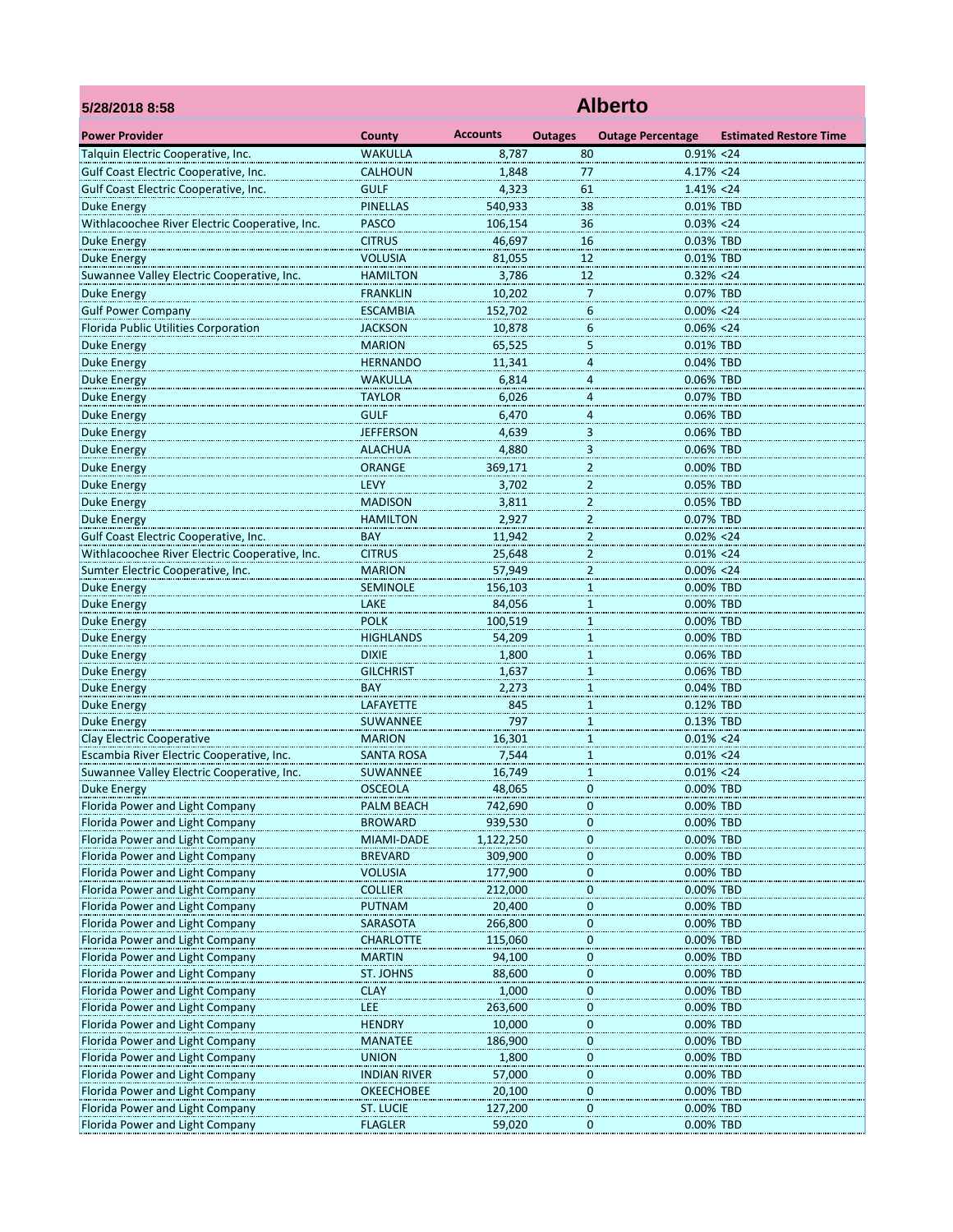| 5/28/2018 8:58                                 | <b>Alberto</b>      |                 |                         |                          |                               |  |  |  |
|------------------------------------------------|---------------------|-----------------|-------------------------|--------------------------|-------------------------------|--|--|--|
| <b>Power Provider</b>                          | County              | <b>Accounts</b> | <b>Outages</b>          | <b>Outage Percentage</b> | <b>Estimated Restore Time</b> |  |  |  |
| Talquin Electric Cooperative, Inc.             | <b>WAKULLA</b>      | 8.787           | 80                      | $0.91\% < 24$            |                               |  |  |  |
| Gulf Coast Electric Cooperative, Inc.          | <b>CALHOUN</b>      | 1,848           | 77                      | 4.17% <24                |                               |  |  |  |
| Gulf Coast Electric Cooperative, Inc.          | <b>GULF</b>         | 4,323           | 61                      | $1.41\% < 24$            |                               |  |  |  |
| <b>Duke Energy</b>                             | <b>PINELLAS</b>     | 540,933         | 38                      | 0.01% TBD                |                               |  |  |  |
| Withlacoochee River Electric Cooperative, Inc. | <b>PASCO</b>        | 106,154         | 36                      | $0.03\% < 24$            |                               |  |  |  |
| <b>Duke Energy</b>                             | <b>CITRUS</b>       | 46,697          | 16                      | 0.03% TBD                |                               |  |  |  |
| <b>Duke Energy</b>                             | <b>VOLUSIA</b>      | 81,055          | 12                      | 0.01% TBD                |                               |  |  |  |
| Suwannee Valley Electric Cooperative, Inc.     | <b>HAMILTON</b>     | 3,786           | 12                      | $0.32\% < 24$            |                               |  |  |  |
| <b>Duke Energy</b>                             | <b>FRANKLIN</b>     | 10,202          | 7                       | 0.07% TBD                |                               |  |  |  |
| <b>Gulf Power Company</b>                      | <b>ESCAMBIA</b>     | 152,702         | 6                       | $0.00\% < 24$            |                               |  |  |  |
| Florida Public Utilities Corporation           | <b>JACKSON</b>      | 10,878          | 6                       | $0.06\% < 24$            |                               |  |  |  |
| <b>Duke Energy</b>                             | <b>MARION</b>       | 65,525          | 5                       | 0.01% TBD                |                               |  |  |  |
| <b>Duke Energy</b>                             | <b>HERNANDO</b>     | 11,341          | $\overline{4}$          | 0.04% TBD                |                               |  |  |  |
| <b>Duke Energy</b>                             | WAKULLA             | 6,814           | 4                       | 0.06% TBD                |                               |  |  |  |
| <b>Duke Energy</b>                             | TAYLOR              | 6,026           | 4                       | 0.07% TBD                |                               |  |  |  |
| <b>Duke Energy</b>                             | <b>GULF</b>         | 6,470           | 4                       | 0.06% TBD                |                               |  |  |  |
| Duke Energy                                    | <b>JEFFERSON</b>    | 4,639           | 3                       | 0.06% TBD                |                               |  |  |  |
| <b>Duke Energy</b>                             | <b>ALACHUA</b>      | 4,880           | as a<br>3               | 0.06% TBD                |                               |  |  |  |
| <b>Duke Energy</b>                             | ORANGE              | 369,171         | 2                       | 0.00% TBD                |                               |  |  |  |
| <b>Duke Energy</b>                             | <b>LEVY</b>         | 3,702           | $\overline{\mathbf{c}}$ | 0.05% TBD                |                               |  |  |  |
| <b>Duke Energy</b>                             | <b>MADISON</b>      | 3,811           | $\overline{\mathbf{c}}$ | 0.05% TBD                |                               |  |  |  |
| <b>Duke Energy</b>                             | <b>HAMILTON</b>     | 2,927           | 2                       | 0.07% TBD                |                               |  |  |  |
| Gulf Coast Electric Cooperative, Inc.          | BAY                 | 11,942          | 2                       | $0.02\% < 24$            |                               |  |  |  |
| Withlacoochee River Electric Cooperative, Inc. | <b>CITRUS</b>       | 25,648          | $\overline{2}$          | $0.01\% < 24$            |                               |  |  |  |
| Sumter Electric Cooperative, Inc.              | <b>MARION</b>       | 57,949          | $\overline{2}$          | $0.00\% < 24$            |                               |  |  |  |
| <b>Duke Energy</b>                             | <b>SEMINOLE</b>     | 156,103         | $\mathbf{1}$            | 0.00% TBD                |                               |  |  |  |
| <b>Duke Energy</b>                             | LAKE                | 84,056          | $\mathbf{1}$            | 0.00% TBD                |                               |  |  |  |
| Duke Energy                                    | <b>POLK</b>         | 100,519         | 1                       | 0.00% TBD                |                               |  |  |  |
| <b>Duke Energy</b>                             | <b>HIGHLANDS</b>    | 54,209          | $\mathbf{1}$            | 0.00% TBD                |                               |  |  |  |
| <b>Duke Energy</b>                             | <b>DIXIE</b>        | 1,800           | $\overline{1}$          | 0.06% TBD                |                               |  |  |  |
| <b>Duke Energy</b>                             | <b>GILCHRIST</b>    | 1,637           | $\mathbf{1}$            | 0.06% TBD                |                               |  |  |  |
| <b>Duke Energy</b>                             | <b>BAY</b>          | 2,273           | $\mathbf{1}$            | 0.04% TBD                |                               |  |  |  |
| Duke Energy                                    | LAFAYETTE           | 845             | 1                       | 0.12% TBD                |                               |  |  |  |
| <b>Duke Energy</b>                             | SUWANNEE            | 797             | $\mathbf{1}$            | 0.13% TBD                |                               |  |  |  |
| <b>Clay Electric Cooperative</b>               | <b>MARION</b>       | 16,301          | $\mathbf{1}$            | $0.01\% < 24$            |                               |  |  |  |
| Escambia River Electric Cooperative, Inc.      | <b>SANTA ROSA</b>   | 7,544           | $\mathbf{1}$            | $0.01\% < 24$            |                               |  |  |  |
| Suwannee Valley Electric Cooperative, Inc.     | SUWANNEE            | 16,749          | $\mathbf{1}$            | $0.01\% < 24$            |                               |  |  |  |
| Duke Energy                                    | OSCEOLA             | 48,065          | 0                       | 0.00% TBD                |                               |  |  |  |
| Florida Power and Light Company                | PALM BEACH          | 742,690         | $\boldsymbol{0}$        | 0.00% TBD                |                               |  |  |  |
| Florida Power and Light Company                | <b>BROWARD</b>      | 939,530         | $\overline{0}$          | 0.00% TBD                |                               |  |  |  |
| Florida Power and Light Company                | MIAMI-DADE          | 1,122,250       | $\pmb{0}$               | 0.00% TBD                |                               |  |  |  |
| Florida Power and Light Company                | <b>BREVARD</b>      | 309,900         | 0                       | 0.00% TBD                |                               |  |  |  |
| Florida Power and Light Company                | <b>VOLUSIA</b>      | 177,900         | 0                       | 0.00% TBD                |                               |  |  |  |
| Florida Power and Light Company                | <b>COLLIER</b>      | 212,000         | 0                       | 0.00% TBD                |                               |  |  |  |
| Florida Power and Light Company                | <b>PUTNAM</b>       | 20,400          | $\overline{0}$          | 0.00% TBD                |                               |  |  |  |
| Florida Power and Light Company                | SARASOTA            | 266,800         | $\pmb{0}$               | 0.00% TBD                |                               |  |  |  |
| Florida Power and Light Company                | <b>CHARLOTTE</b>    | 115,060         | 0                       | 0.00% TBD                |                               |  |  |  |
| Florida Power and Light Company                | <b>MARTIN</b>       | 94,100          | 0                       | 0.00% TBD                |                               |  |  |  |
| Florida Power and Light Company                | ST. JOHNS           | 88,600          | 0                       | 0.00% TBD                |                               |  |  |  |
| Florida Power and Light Company                | <b>CLAY</b>         | 1,000           | $\overline{0}$          | 0.00% TBD                |                               |  |  |  |
| Florida Power and Light Company                | LEE                 | 263,600         | $\bf{0}$                | 0.00% TBD                |                               |  |  |  |
| Florida Power and Light Company                | <b>HENDRY</b>       | 10,000          | 0                       | 0.00% TBD                |                               |  |  |  |
| Florida Power and Light Company                | <b>MANATEE</b>      | 186,900         | $\boldsymbol{0}$        | 0.00% TBD                |                               |  |  |  |
| Florida Power and Light Company                | <b>UNION</b>        | 1,800           | 0                       | 0.00% TBD                |                               |  |  |  |
| Florida Power and Light Company                | <b>INDIAN RIVER</b> | 57,000          | $\overline{0}$          | 0.00% TBD                |                               |  |  |  |
| Florida Power and Light Company                | <b>OKEECHOBEE</b>   | 20,100          | $\pmb{0}$               | 0.00% TBD                |                               |  |  |  |
| Florida Power and Light Company                | <b>ST. LUCIE</b>    | 127,200         | 0                       | 0.00% TBD                |                               |  |  |  |
| Florida Power and Light Company                | <b>FLAGLER</b>      | 59,020          | 0                       | 0.00% TBD                |                               |  |  |  |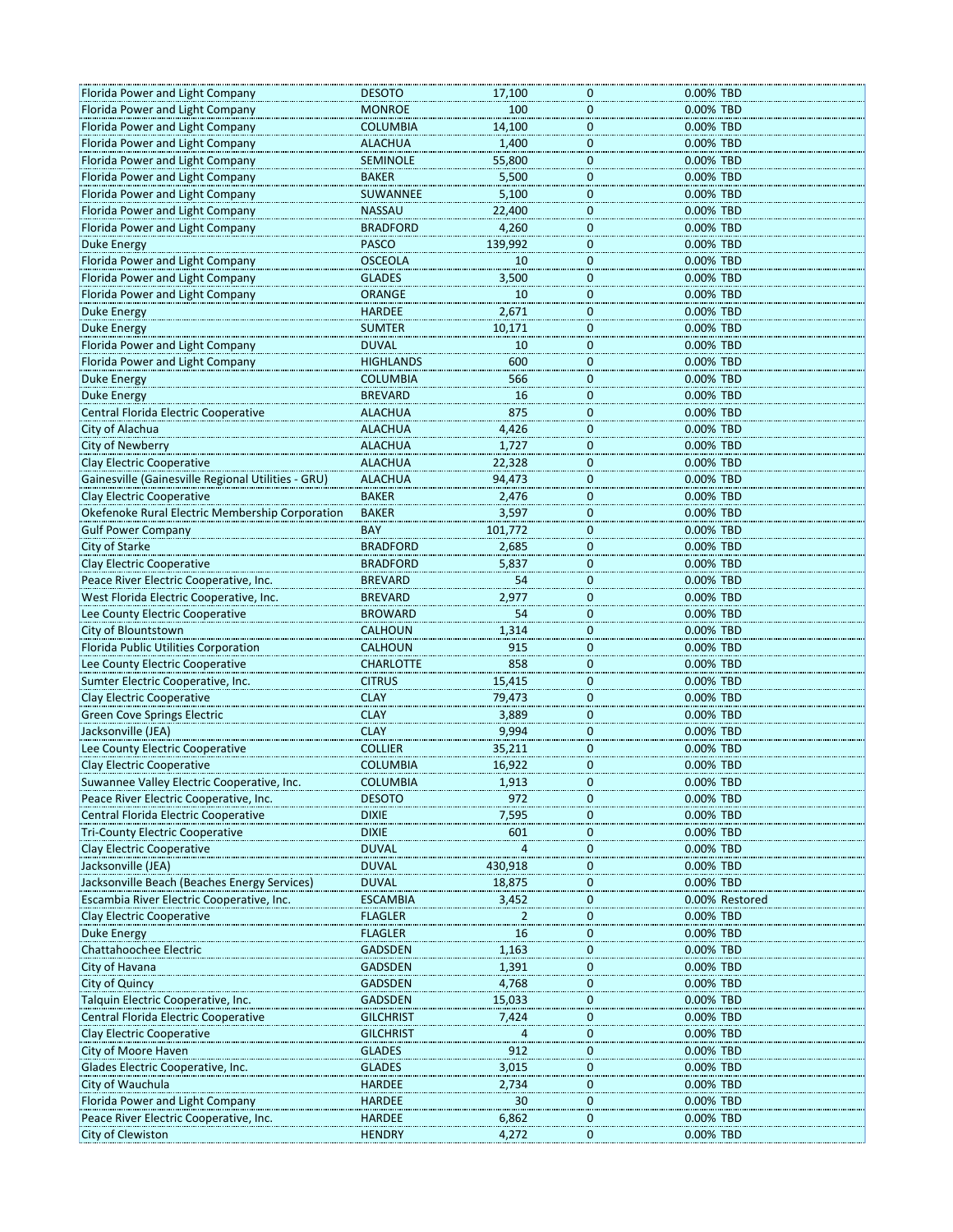| Florida Power and Light Company                    | <b>DESOTO</b>    | 17,100         | 0.00% TBD<br>0                |
|----------------------------------------------------|------------------|----------------|-------------------------------|
| Florida Power and Light Company                    | <b>MONROE</b>    | 100            | $\mathbf 0$<br>0.00% TBD      |
| Florida Power and Light Company                    | <b>COLUMBIA</b>  | 14,100         | $\mathbf 0$<br>0.00% TBD      |
| Florida Power and Light Company                    | <b>ALACHUA</b>   | 1,400          | $\mathbf 0$<br>0.00% TBD      |
| Florida Power and Light Company                    | <b>SEMINOLE</b>  | 55,800         | 0.00% TBD<br>0                |
| Florida Power and Light Company                    | <b>BAKER</b>     | 5,500          | 0.00% TBD<br>0                |
| Florida Power and Light Company                    | SUWANNEE         | 5,100          | $\mathbf 0$<br>0.00% TBD      |
|                                                    |                  |                |                               |
| Florida Power and Light Company                    | <b>NASSAU</b>    | 22,400         | $\mathbf 0$<br>0.00% TBD      |
| Florida Power and Light Company                    | <b>BRADFORD</b>  | 4,260          | $\mathbf 0$<br>0.00% TBD      |
| <b>Duke Energy</b>                                 | <b>PASCO</b>     | 139,992        | 0.00% TBD<br>$\bf{0}$         |
| Florida Power and Light Company                    | <b>OSCEOLA</b>   | 10             | 0.00% TBD<br>0                |
| Florida Power and Light Company                    | <b>GLADES</b>    | 3,500          | $\mathbf 0$<br>0.00% TBD      |
| Florida Power and Light Company                    | <b>ORANGE</b>    | 10             | $\mathbf 0$<br>0.00% TBD      |
| <b>Duke Energy</b>                                 | <b>HARDEE</b>    | 2,671          | $\mathbf 0$<br>0.00% TBD      |
| Duke Energy                                        | <b>SUMTER</b>    | 10,171         | 0.00% TBD<br>$\bf{0}$         |
| Florida Power and Light Company                    | <b>DUVAL</b>     | 10             | 0.00% TBD<br>0                |
|                                                    | <b>HIGHLANDS</b> | 600            | $\mathbf 0$<br>0.00% TBD      |
| Florida Power and Light Company                    |                  |                |                               |
| <b>Duke Energy</b>                                 | <b>COLUMBIA</b>  | 566            | $\mathbf 0$<br>0.00% TBD      |
| <b>Duke Energy</b>                                 | <b>BREVARD</b>   | 16             | $\mathbf 0$<br>0.00% TBD      |
| <b>Central Florida Electric Cooperative</b>        | <b>ALACHUA</b>   | 875            | 0.00% TBD<br>$\bf{0}$         |
| City of Alachua                                    | <b>ALACHUA</b>   | 4,426          | 0.00% TBD<br>0                |
| <b>City of Newberry</b>                            | <b>ALACHUA</b>   | 1,727          | 0<br>0.00% TBD                |
| <b>Clay Electric Cooperative</b>                   | <b>ALACHUA</b>   | 22,328         | $\bf{0}$<br>0.00% TBD         |
| Gainesville (Gainesville Regional Utilities - GRU) | <b>ALACHUA</b>   | 94,473         | $\mathbf 0$<br>0.00% TBD      |
| Clay Electric Cooperative                          | <b>BAKER</b>     | 2,476          | 0.00% TBD<br>$\bf{0}$         |
| Okefenoke Rural Electric Membership Corporation    | <b>BAKER</b>     | 3,597          | 0.00% TBD<br>0                |
|                                                    | <b>BAY</b>       | 101,772        |                               |
| <b>Gulf Power Company</b>                          |                  |                | 0<br>0.00% TBD                |
| City of Starke                                     | <b>BRADFORD</b>  | 2,685          | $\mathbf 0$<br>0.00% TBD      |
| <b>Clay Electric Cooperative</b>                   | <b>BRADFORD</b>  | 5,837          | $\mathbf 0$<br>0.00% TBD      |
| Peace River Electric Cooperative, Inc.             | <b>BREVARD</b>   | 54             | 0.00% TBD<br>0                |
| West Florida Electric Cooperative, Inc.            | <b>BREVARD</b>   | 2,977          | 0.00% TBD<br>0                |
| Lee County Electric Cooperative                    | <b>BROWARD</b>   | 54             | 0.00% TBD<br>0                |
| City of Blountstown                                | <b>CALHOUN</b>   | 1,314          | $\mathbf 0$<br>0.00% TBD      |
| Florida Public Utilities Corporation               | <b>CALHOUN</b>   | 915            | $\bf{0}$<br>0.00% TBD         |
| Lee County Electric Cooperative                    | <b>CHARLOTTE</b> | 858            | 0.00% TBD<br>$\bf{0}$         |
| Sumter Electric Cooperative, Inc.                  | <b>CITRUS</b>    | 15,415         | 0.00% TBD<br>0                |
| Clay Electric Cooperative                          | <b>CLAY</b>      | 79,473         | 0.00% TBD<br>0                |
| <b>Green Cove Springs Electric</b>                 | <b>CLAY</b>      | 3,889          | $\mathbf 0$<br>0.00% TBD      |
|                                                    |                  |                |                               |
| Jacksonville (JEA)                                 | <b>CLAY</b>      | 9,994          | $\bf{0}$<br>0.00% TBD         |
| Lee County Electric Cooperative                    | <b>COLLIER</b>   | 35,211         | 0.00% TBD<br>$\mathbf 0$      |
| <b>Clay Electric Cooperative</b>                   | <b>COLUMBIA</b>  | 16,922         | $\mathbf 0$<br>0.00% TBD      |
| Suwannee Valley Electric Cooperative, Inc.         | <b>COLUMBIA</b>  | 1,913          | 0<br>0.00% TBD                |
| Peace River Electric Cooperative, Inc.             | <b>DESOTO</b>    | 972            | 0.00% TBD<br>0                |
| Central Florida Electric Cooperative               | <b>DIXIE</b>     | 7,595          | 0.00% TBD<br>$\bf{0}$         |
| <b>Tri-County Electric Cooperative</b>             | <b>DIXIE</b>     | 601            | 0.00% TBD<br>$\mathbf 0$      |
| <b>Clay Electric Cooperative</b>                   | <b>DUVAL</b>     | $\overline{4}$ | $\mathbf 0$<br>0.00% TBD      |
| Jacksonville (JEA)                                 | <b>DUVAL</b>     | 430,918        | 0.00% TBD<br>0                |
| Jacksonville Beach (Beaches Energy Services)       | <b>DUVAL</b>     | 18,875         | 0.00% TBD<br>$\bf{0}$         |
| Escambia River Electric Cooperative, Inc.          | <b>ESCAMBIA</b>  | 3,452          | $\mathbf 0$<br>0.00% Restored |
| <b>Clay Electric Cooperative</b>                   | <b>FLAGLER</b>   | 2              | 0.00% TBD<br>$\mathbf 0$      |
|                                                    |                  |                |                               |
| <b>Duke Energy</b>                                 | <b>FLAGLER</b>   | 16             | 0.00% TBD<br>0                |
| <b>Chattahoochee Electric</b>                      | <b>GADSDEN</b>   | 1,163          | 0.00% TBD<br>0                |
| City of Havana                                     | <b>GADSDEN</b>   | 1,391          | 0.00% TBD<br>$\bf{0}$         |
| City of Quincy                                     | <b>GADSDEN</b>   | 4,768          | 0.00% TBD<br>$\mathbf 0$      |
| Talquin Electric Cooperative, Inc.                 | <b>GADSDEN</b>   | 15,033         | 0.00% TBD<br>$\mathbf 0$      |
| Central Florida Electric Cooperative               | <b>GILCHRIST</b> | 7,424          | $\mathbf 0$<br>0.00% TBD      |
| Clay Electric Cooperative                          | <b>GILCHRIST</b> | 4              | 0.00% TBD<br>0                |
| City of Moore Haven                                | <b>GLADES</b>    | 912            | 0.00% TBD<br>$\bf{0}$         |
| Glades Electric Cooperative, Inc.                  | <b>GLADES</b>    | 3,015          | 0.00% TBD<br>0                |
| City of Wauchula                                   | <b>HARDEE</b>    | 2,734          | 0.00% TBD<br>$\mathbf 0$      |
| Florida Power and Light Company                    | <b>HARDEE</b>    | 30             | $\mathbf 0$<br>0.00% TBD      |
|                                                    | <b>HARDEE</b>    |                | 0.00% TBD<br>0                |
| Peace River Electric Cooperative, Inc.             |                  | 6,862          |                               |
| City of Clewiston                                  | <b>HENDRY</b>    | 4,272          | 0.00% TBD<br>0                |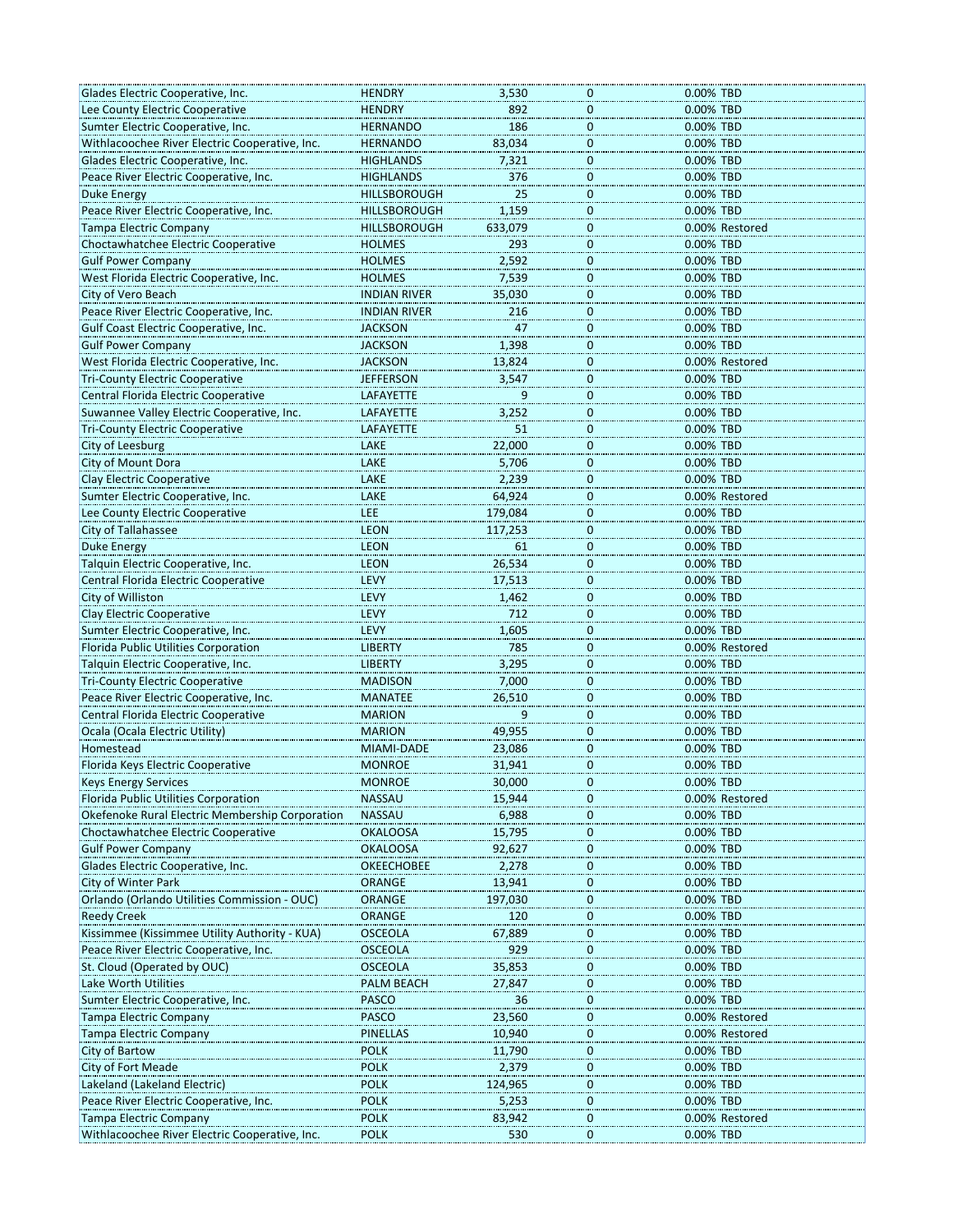| Glades Electric Cooperative, Inc.                                      | <b>HENDRY</b>       | 3,530           | 0            | 0.00% TBD      |
|------------------------------------------------------------------------|---------------------|-----------------|--------------|----------------|
| Lee County Electric Cooperative                                        | <b>HENDRY</b>       | 892             | 0            | 0.00% TBD      |
| Sumter Electric Cooperative, Inc.                                      | <b>HERNANDO</b>     | 186             | $\mathbf 0$  | 0.00% TBD      |
| Withlacoochee River Electric Cooperative, Inc.                         | <b>HERNANDO</b>     | 83,034          | $\mathbf{0}$ | 0.00% TBD      |
| Glades Electric Cooperative, Inc.                                      | <b>HIGHLANDS</b>    | 7,321           | $\mathbf{0}$ | 0.00% TBD      |
| Peace River Electric Cooperative, Inc.                                 | <b>HIGHLANDS</b>    | 376             | 0            | 0.00% TBD      |
| Duke Energy                                                            | <b>HILLSBOROUGH</b> | 25              | 0            | 0.00% TBD      |
| Peace River Electric Cooperative, Inc                                  | <b>HILLSBOROUGH</b> | 1,159           | $\mathbf 0$  | 0.00% TBD      |
| <b>Tampa Electric Company</b>                                          | <b>HILLSBOROUGH</b> | 633,079         | $\mathbf{0}$ | 0.00% Restored |
| Choctawhatchee Electric Cooperative                                    | <b>HOLMES</b>       | 293             | $\mathbf{0}$ | 0.00% TBD      |
| <b>Gulf Power Company</b>                                              | <b>HOLMES</b>       | 2,592           | 0            | 0.00% TBD      |
| West Florida Electric Cooperative, Inc.                                | <b>HOLMES</b>       | 7,539           | 0            | 0.00% TBD      |
| City of Vero Beach                                                     | <b>INDIAN RIVER</b> | 35,030          | $\mathbf 0$  | 0.00% TBD      |
| Peace River Electric Cooperative, Inc.                                 | <b>INDIAN RIVER</b> | 216             | $\mathbf 0$  | 0.00% TBD      |
| Gulf Coast Electric Cooperative, Inc.                                  | <b>JACKSON</b>      | 47              | $\mathbf 0$  | 0.00% TBD      |
|                                                                        |                     |                 |              |                |
| <b>Gulf Power Company</b>                                              | <b>JACKSON</b>      | 1,398           | 0            | 0.00% TBD      |
| West Florida Electric Cooperative, Inc.                                | <b>JACKSON</b>      | 13,824          | 0            | 0.00% Restored |
| <b>Tri-County Electric Cooperative</b>                                 | <b>JEFFERSON</b>    | 3,547           | $\mathbf 0$  | 0.00% TBD      |
| Central Florida Electric Cooperative                                   | <b>LAFAYETTE</b>    | 9               | $\mathbf 0$  | 0.00% TBD      |
| Suwannee Valley Electric Cooperative, Inc.                             | LAFAYETTE           | 3,252           | $\Omega$     | 0.00% TBD      |
| <b>Tri-County Electric Cooperative</b>                                 | LAFAYETTE           | 51              | 0            | 0.00% TBD      |
| City of Leesburg                                                       | LAKE                | 22,000          | 0            | 0.00% TBD      |
| City of Mount Dora                                                     | LAKE                | 5,706           | $\mathbf 0$  | 0.00% TBD      |
| Clay Electric Cooperative                                              | LAKE                | 2,239           | $\mathbf 0$  | 0.00% TBD      |
| Sumter Electric Cooperative, Inc.                                      | LAKE                | 64,924          | $\mathbf{0}$ | 0.00% Restored |
| Lee County Electric Cooperative                                        | LEE                 | 179,084         | 0            | 0.00% TBD      |
| City of Tallahassee                                                    | <b>LEON</b>         | 117,253         | 0            | 0.00% TBD      |
| <b>Duke Energy</b>                                                     | <b>LEON</b>         | 61              | $\mathbf 0$  | 0.00% TBD      |
| Talquin Electric Cooperative, Inc.                                     | <b>LEON</b>         | 26,534          | $\mathbf 0$  | 0.00% TBD      |
| Central Florida Electric Cooperative                                   | LEVY                | 17,513          | $\mathbf{0}$ | 0.00% TBD      |
| City of Williston                                                      | LEVY                | 1,462           | 0            | 0.00% TBD      |
|                                                                        | LEVY                | 712             | 0            | 0.00% TBD      |
| Clay Electric Cooperative                                              | LEVY                |                 |              |                |
| Sumter Electric Cooperative, Inc.                                      |                     | 1,605           | $\mathbf 0$  | 0.00% TBD      |
| Florida Public Utilities Corporation                                   | <b>LIBERTY</b>      | 785             | $\mathbf 0$  | 0.00% Restored |
| Talquin Electric Cooperative, Inc.                                     | <b>LIBERTY</b>      | 3,295           | $\mathbf{0}$ | 0.00% TBD      |
| <b>Tri-County Electric Cooperative</b>                                 | <b>MADISON</b>      | 7,000           | 0            | 0.00% TBD      |
| Peace River Electric Cooperative, Inc.                                 | <b>MANATEE</b>      | 26,510          | 0            | 0.00% TBD      |
| Central Florida Electric Cooperative                                   | <b>MARION</b>       | 9               | $\mathbf 0$  | 0.00% TBD      |
| Ocala (Ocala Electric Utility)                                         | <b>MARION</b>       | 49,955          | $\mathbf 0$  | 0.00% TBD      |
| Homestead                                                              | MIAMI-DADE          | 23,086          | $\mathbf 0$  | 0.00% TBD      |
| Florida Keys Electric Cooperative                                      | <b>MONROE</b>       | 31,941          | 0            | 0.00% TBD      |
| <b>Reys Energy Services</b>                                            | <b>MONROE</b>       | 30,000          | U            | 0.00% IBD      |
| Florida Public Utilities Corporation                                   | <b>NASSAU</b>       | 15,944          | 0            | 0.00% Restored |
| Okefenoke Rural Electric Membership Corporation                        | <b>NASSAU</b>       | 6,988           | 0            | 0.00% TBD      |
| Choctawhatchee Electric Cooperative                                    | <b>OKALOOSA</b>     | 15,795          | $\mathbf 0$  | 0.00% TBD      |
| <b>Gulf Power Company</b>                                              | <b>OKALOOSA</b>     | 92,627          | 0            | 0.00% TBD      |
| Glades Electric Cooperative, Inc.                                      | <b>OKEECHOBEE</b>   | 2,278           | 0            | 0.00% TBD      |
| City of Winter Park                                                    | ORANGE              | 13,941          | 0            | 0.00% TBD      |
| Orlando (Orlando Utilities Commission - OUC)                           | ORANGE              | 197,030         | $\mathbf{0}$ | 0.00% TBD      |
| <b>Reedy Creek</b>                                                     | <b>ORANGE</b>       | 120             | 0            | 0.00% TBD      |
|                                                                        |                     |                 |              |                |
| Kissimmee (Kissimmee Utility Authority - KUA)                          | <b>OSCEOLA</b>      | 67,889          | 0            | 0.00% TBD      |
| Peace River Electric Cooperative, Inc.                                 | <b>OSCEOLA</b>      | 929             | 0            | 0.00% TBD      |
| St. Cloud (Operated by OUC)                                            | <b>OSCEOLA</b>      | 35,853          | 0            | 0.00% TBD      |
| Lake Worth Utilities                                                   | <b>PALM BEACH</b>   | 27,847          | $\mathbf{0}$ | 0.00% TBD      |
| Sumter Electric Cooperative, Inc.                                      | <b>PASCO</b>        | 36              | 0            | 0.00% TBD      |
| <b>Tampa Electric Company</b>                                          | <b>PASCO</b>        | 23,560          | 0            | 0.00% Restored |
| <b>Tampa Electric Company</b>                                          | PINELLAS            | 10,940          | 0            | 0.00% Restored |
| <b>City of Bartow</b>                                                  | <b>POLK</b>         | 11,790          | 0            | 0.00% TBD      |
| <b>City of Fort Meade</b>                                              | <b>POLK</b>         | 2,379           | $\mathbf{0}$ | 0.00% TBD      |
|                                                                        | <b>POLK</b>         | 124,965         | 0            | 0.00% TBD      |
|                                                                        |                     |                 |              |                |
| Lakeland (Lakeland Electric)<br>Peace River Electric Cooperative, Inc. | <b>POLK</b>         |                 | 0            | 0.00% TBD      |
| <b>Tampa Electric Company</b>                                          | <b>POLK</b>         | 5,253<br>83,942 | 0            | 0.00% Restored |